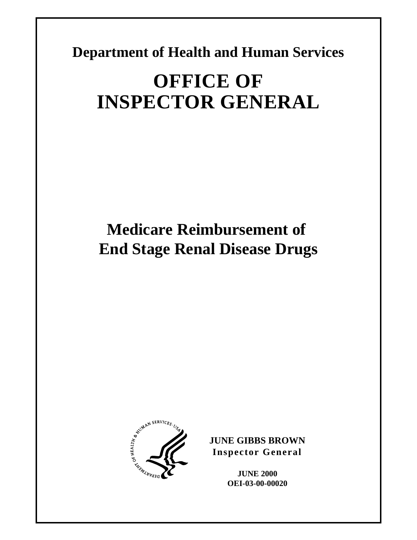**Department of Health and Human Services** 

# **OFFICE OF INSPECTOR GENERAL**

# **Medicare Reimbursement of End Stage Renal Disease Drugs**



**JUNE GIBBS BROWN Inspector General** 

> **JUNE 2000 OEI-03-00-00020**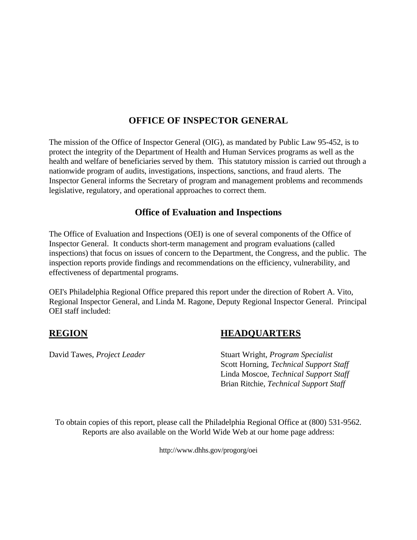#### **OFFICE OF INSPECTOR GENERAL**

The mission of the Office of Inspector General (OIG), as mandated by Public Law 95-452, is to protect the integrity of the Department of Health and Human Services programs as well as the health and welfare of beneficiaries served by them. This statutory mission is carried out through a nationwide program of audits, investigations, inspections, sanctions, and fraud alerts. The Inspector General informs the Secretary of program and management problems and recommends legislative, regulatory, and operational approaches to correct them.

#### **Office of Evaluation and Inspections**

The Office of Evaluation and Inspections (OEI) is one of several components of the Office of Inspector General. It conducts short-term management and program evaluations (called inspections) that focus on issues of concern to the Department, the Congress, and the public. The inspection reports provide findings and recommendations on the efficiency, vulnerability, and effectiveness of departmental programs.

OEI's Philadelphia Regional Office prepared this report under the direction of Robert A. Vito, Regional Inspector General, and Linda M. Ragone, Deputy Regional Inspector General. Principal OEI staff included:

#### **REGION HEADQUARTERS**

David Tawes, *Project Leader* Stuart Wright, *Program Specialist* Scott Horning, *Technical Support Staff*  Linda Moscoe, *Technical Support Staff*  Brian Ritchie, *Technical Support Staff* 

To obtain copies of this report, please call the Philadelphia Regional Office at (800) 531-9562. Reports are also available on the World Wide Web at our home page address:

http://www.dhhs.gov/progorg/oei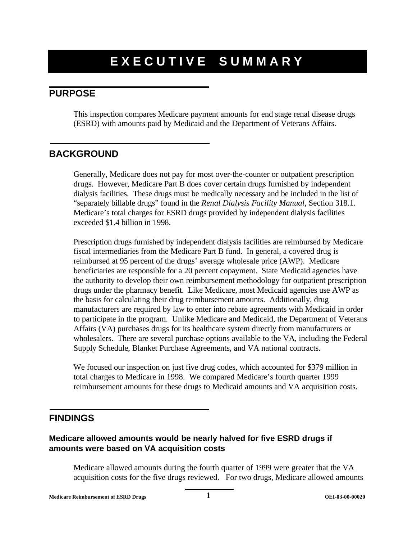### **EXECUTIVE SUMMARY**

#### **PURPOSE**

This inspection compares Medicare payment amounts for end stage renal disease drugs (ESRD) with amounts paid by Medicaid and the Department of Veterans Affairs.

#### **BACKGROUND**

Generally, Medicare does not pay for most over-the-counter or outpatient prescription drugs. However, Medicare Part B does cover certain drugs furnished by independent dialysis facilities. These drugs must be medically necessary and be included in the list of "separately billable drugs" found in the *Renal Dialysis Facility Manual,* Section 318.1. Medicare's total charges for ESRD drugs provided by independent dialysis facilities exceeded \$1.4 billion in 1998.

Prescription drugs furnished by independent dialysis facilities are reimbursed by Medicare fiscal intermediaries from the Medicare Part B fund. In general, a covered drug is reimbursed at 95 percent of the drugs' average wholesale price (AWP). Medicare beneficiaries are responsible for a 20 percent copayment. State Medicaid agencies have the authority to develop their own reimbursement methodology for outpatient prescription drugs under the pharmacy benefit. Like Medicare, most Medicaid agencies use AWP as the basis for calculating their drug reimbursement amounts. Additionally, drug manufacturers are required by law to enter into rebate agreements with Medicaid in order to participate in the program. Unlike Medicare and Medicaid, the Department of Veterans Affairs (VA) purchases drugs for its healthcare system directly from manufacturers or wholesalers. There are several purchase options available to the VA, including the Federal Supply Schedule, Blanket Purchase Agreements, and VA national contracts.

We focused our inspection on just five drug codes, which accounted for \$379 million in total charges to Medicare in 1998. We compared Medicare's fourth quarter 1999 reimbursement amounts for these drugs to Medicaid amounts and VA acquisition costs.

#### **FINDINGS**

#### **Medicare allowed amounts would be nearly halved for five ESRD drugs if amounts were based on VA acquisition costs**

Medicare allowed amounts during the fourth quarter of 1999 were greater that the VA acquisition costs for the five drugs reviewed. For two drugs, Medicare allowed amounts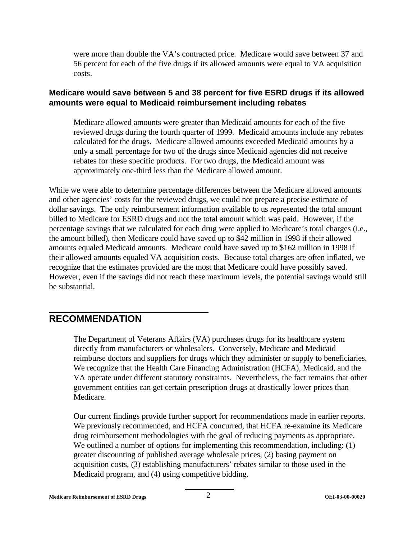were more than double the VA's contracted price. Medicare would save between 37 and 56 percent for each of the five drugs if its allowed amounts were equal to VA acquisition costs.

#### **Medicare would save between 5 and 38 percent for five ESRD drugs if its allowed amounts were equal to Medicaid reimbursement including rebates**

Medicare allowed amounts were greater than Medicaid amounts for each of the five reviewed drugs during the fourth quarter of 1999. Medicaid amounts include any rebates calculated for the drugs. Medicare allowed amounts exceeded Medicaid amounts by a only a small percentage for two of the drugs since Medicaid agencies did not receive rebates for these specific products. For two drugs, the Medicaid amount was approximately one-third less than the Medicare allowed amount.

While we were able to determine percentage differences between the Medicare allowed amounts and other agencies' costs for the reviewed drugs, we could not prepare a precise estimate of dollar savings. The only reimbursement information available to us represented the total amount billed to Medicare for ESRD drugs and not the total amount which was paid. However, if the percentage savings that we calculated for each drug were applied to Medicare's total charges (i.e., the amount billed), then Medicare could have saved up to \$42 million in 1998 if their allowed amounts equaled Medicaid amounts. Medicare could have saved up to \$162 million in 1998 if their allowed amounts equaled VA acquisition costs. Because total charges are often inflated, we recognize that the estimates provided are the most that Medicare could have possibly saved. However, even if the savings did not reach these maximum levels, the potential savings would still be substantial.

#### **RECOMMENDATION**

The Department of Veterans Affairs (VA) purchases drugs for its healthcare system directly from manufacturers or wholesalers. Conversely, Medicare and Medicaid reimburse doctors and suppliers for drugs which they administer or supply to beneficiaries. We recognize that the Health Care Financing Administration (HCFA), Medicaid, and the VA operate under different statutory constraints. Nevertheless, the fact remains that other government entities can get certain prescription drugs at drastically lower prices than Medicare.

Our current findings provide further support for recommendations made in earlier reports. We previously recommended, and HCFA concurred, that HCFA re-examine its Medicare drug reimbursement methodologies with the goal of reducing payments as appropriate. We outlined a number of options for implementing this recommendation, including: (1) greater discounting of published average wholesale prices, (2) basing payment on acquisition costs, (3) establishing manufacturers' rebates similar to those used in the Medicaid program, and (4) using competitive bidding.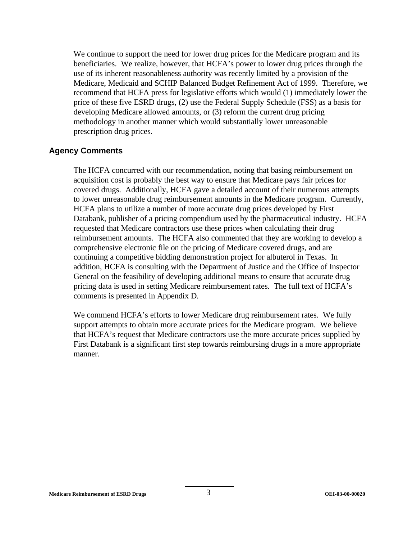We continue to support the need for lower drug prices for the Medicare program and its beneficiaries. We realize, however, that HCFA's power to lower drug prices through the use of its inherent reasonableness authority was recently limited by a provision of the Medicare, Medicaid and SCHIP Balanced Budget Refinement Act of 1999. Therefore, we recommend that HCFA press for legislative efforts which would (1) immediately lower the price of these five ESRD drugs, (2) use the Federal Supply Schedule (FSS) as a basis for developing Medicare allowed amounts, or (3) reform the current drug pricing methodology in another manner which would substantially lower unreasonable prescription drug prices.

#### **Agency Comments**

The HCFA concurred with our recommendation, noting that basing reimbursement on acquisition cost is probably the best way to ensure that Medicare pays fair prices for covered drugs. Additionally, HCFA gave a detailed account of their numerous attempts to lower unreasonable drug reimbursement amounts in the Medicare program. Currently, HCFA plans to utilize a number of more accurate drug prices developed by First Databank, publisher of a pricing compendium used by the pharmaceutical industry. HCFA requested that Medicare contractors use these prices when calculating their drug reimbursement amounts. The HCFA also commented that they are working to develop a comprehensive electronic file on the pricing of Medicare covered drugs, and are continuing a competitive bidding demonstration project for albuterol in Texas. In addition, HCFA is consulting with the Department of Justice and the Office of Inspector General on the feasibility of developing additional means to ensure that accurate drug pricing data is used in setting Medicare reimbursement rates. The full text of HCFA's comments is presented in Appendix D.

We commend HCFA's efforts to lower Medicare drug reimbursement rates. We fully support attempts to obtain more accurate prices for the Medicare program. We believe that HCFA's request that Medicare contractors use the more accurate prices supplied by First Databank is a significant first step towards reimbursing drugs in a more appropriate manner.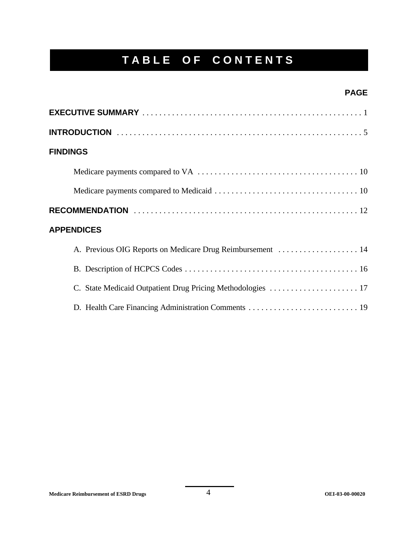### **TABLE OF CONTENTS**

#### **PAGE**

| <b>FINDINGS</b>                                             |
|-------------------------------------------------------------|
|                                                             |
|                                                             |
|                                                             |
| <b>APPENDICES</b>                                           |
| A. Previous OIG Reports on Medicare Drug Reimbursement  14  |
|                                                             |
| C. State Medicaid Outpatient Drug Pricing Methodologies  17 |
|                                                             |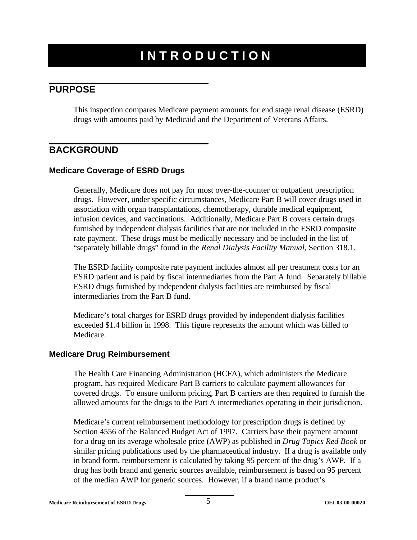### **INTRODUCTION**

### **PURPOSE**

This inspection compares Medicare payment amounts for end stage renal disease (ESRD) drugs with amounts paid by Medicaid and the Department of Veterans Affairs.

#### **BACKGROUND**

#### **Medicare Coverage of ESRD Drugs**

Generally, Medicare does not pay for most over-the-counter or outpatient prescription drugs. However, under specific circumstances, Medicare Part B will cover drugs used in association with organ transplantations, chemotherapy, durable medical equipment, infusion devices, and vaccinations. Additionally, Medicare Part B covers certain drugs furnished by independent dialysis facilities that are not included in the ESRD composite rate payment. These drugs must be medically necessary and be included in the list of "separately billable drugs" found in the *Renal Dialysis Facility Manual,* Section 318.1.

The ESRD facility composite rate payment includes almost all per treatment costs for an ESRD patient and is paid by fiscal intermediaries from the Part A fund. Separately billable ESRD drugs furnished by independent dialysis facilities are reimbursed by fiscal intermediaries from the Part B fund.

Medicare's total charges for ESRD drugs provided by independent dialysis facilities exceeded \$1.4 billion in 1998. This figure represents the amount which was billed to Medicare.

#### **Medicare Drug Reimbursement**

The Health Care Financing Administration (HCFA), which administers the Medicare program, has required Medicare Part B carriers to calculate payment allowances for covered drugs. To ensure uniform pricing, Part B carriers are then required to furnish the allowed amounts for the drugs to the Part A intermediaries operating in their jurisdiction.

Medicare's current reimbursement methodology for prescription drugs is defined by Section 4556 of the Balanced Budget Act of 1997. Carriers base their payment amount for a drug on its average wholesale price (AWP) as published in *Drug Topics Red Book* or similar pricing publications used by the pharmaceutical industry. If a drug is available only in brand form, reimbursement is calculated by taking 95 percent of the drug's AWP. If a drug has both brand and generic sources available, reimbursement is based on 95 percent of the median AWP for generic sources. However, if a brand name product's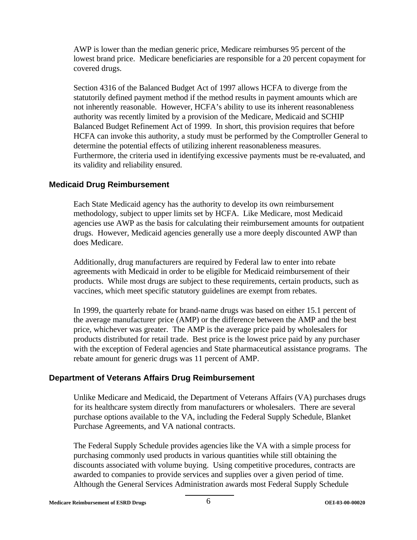AWP is lower than the median generic price, Medicare reimburses 95 percent of the lowest brand price. Medicare beneficiaries are responsible for a 20 percent copayment for covered drugs.

Section 4316 of the Balanced Budget Act of 1997 allows HCFA to diverge from the statutorily defined payment method if the method results in payment amounts which are not inherently reasonable. However, HCFA's ability to use its inherent reasonableness authority was recently limited by a provision of the Medicare, Medicaid and SCHIP Balanced Budget Refinement Act of 1999. In short, this provision requires that before HCFA can invoke this authority, a study must be performed by the Comptroller General to determine the potential effects of utilizing inherent reasonableness measures. Furthermore, the criteria used in identifying excessive payments must be re-evaluated, and its validity and reliability ensured.

#### **Medicaid Drug Reimbursement**

Each State Medicaid agency has the authority to develop its own reimbursement methodology, subject to upper limits set by HCFA. Like Medicare, most Medicaid agencies use AWP as the basis for calculating their reimbursement amounts for outpatient drugs. However, Medicaid agencies generally use a more deeply discounted AWP than does Medicare.

Additionally, drug manufacturers are required by Federal law to enter into rebate agreements with Medicaid in order to be eligible for Medicaid reimbursement of their products. While most drugs are subject to these requirements, certain products, such as vaccines, which meet specific statutory guidelines are exempt from rebates.

In 1999, the quarterly rebate for brand-name drugs was based on either 15.1 percent of the average manufacturer price (AMP) or the difference between the AMP and the best price, whichever was greater. The AMP is the average price paid by wholesalers for products distributed for retail trade. Best price is the lowest price paid by any purchaser with the exception of Federal agencies and State pharmaceutical assistance programs. The rebate amount for generic drugs was 11 percent of AMP.

#### **Department of Veterans Affairs Drug Reimbursement**

Unlike Medicare and Medicaid, the Department of Veterans Affairs (VA) purchases drugs for its healthcare system directly from manufacturers or wholesalers. There are several purchase options available to the VA, including the Federal Supply Schedule, Blanket Purchase Agreements, and VA national contracts.

The Federal Supply Schedule provides agencies like the VA with a simple process for purchasing commonly used products in various quantities while still obtaining the discounts associated with volume buying. Using competitive procedures, contracts are awarded to companies to provide services and supplies over a given period of time. Although the General Services Administration awards most Federal Supply Schedule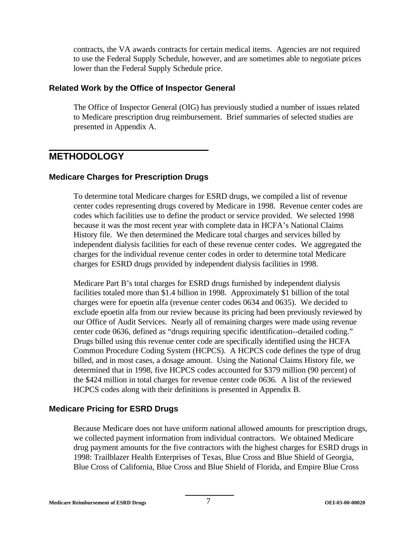contracts, the VA awards contracts for certain medical items. Agencies are not required to use the Federal Supply Schedule, however, and are sometimes able to negotiate prices lower than the Federal Supply Schedule price.

#### **Related Work by the Office of Inspector General**

The Office of Inspector General (OIG) has previously studied a number of issues related to Medicare prescription drug reimbursement. Brief summaries of selected studies are presented in Appendix A.

#### **METHODOLOGY**

#### **Medicare Charges for Prescription Drugs**

To determine total Medicare charges for ESRD drugs, we compiled a list of revenue center codes representing drugs covered by Medicare in 1998. Revenue center codes are codes which facilities use to define the product or service provided. We selected 1998 because it was the most recent year with complete data in HCFA's National Claims History file. We then determined the Medicare total charges and services billed by independent dialysis facilities for each of these revenue center codes. We aggregated the charges for the individual revenue center codes in order to determine total Medicare charges for ESRD drugs provided by independent dialysis facilities in 1998.

Medicare Part B's total charges for ESRD drugs furnished by independent dialysis facilities totaled more than \$1.4 billion in 1998. Approximately \$1 billion of the total charges were for epoetin alfa (revenue center codes 0634 and 0635). We decided to exclude epoetin alfa from our review because its pricing had been previously reviewed by our Office of Audit Services. Nearly all of remaining charges were made using revenue center code 0636, defined as "drugs requiring specific identification--detailed coding." Drugs billed using this revenue center code are specifically identified using the HCFA Common Procedure Coding System (HCPCS). A HCPCS code defines the type of drug billed, and in most cases, a dosage amount. Using the National Claims History file, we determined that in 1998, five HCPCS codes accounted for \$379 million (90 percent) of the \$424 million in total charges for revenue center code 0636. A list of the reviewed HCPCS codes along with their definitions is presented in Appendix B.

#### **Medicare Pricing for ESRD Drugs**

Because Medicare does not have uniform national allowed amounts for prescription drugs, we collected payment information from individual contractors. We obtained Medicare drug payment amounts for the five contractors with the highest charges for ESRD drugs in 1998: Trailblazer Health Enterprises of Texas, Blue Cross and Blue Shield of Georgia, Blue Cross of California, Blue Cross and Blue Shield of Florida, and Empire Blue Cross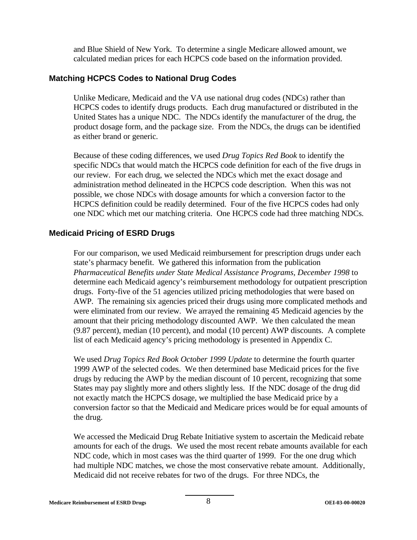and Blue Shield of New York. To determine a single Medicare allowed amount, we calculated median prices for each HCPCS code based on the information provided.

#### **Matching HCPCS Codes to National Drug Codes**

Unlike Medicare, Medicaid and the VA use national drug codes (NDCs) rather than HCPCS codes to identify drugs products. Each drug manufactured or distributed in the United States has a unique NDC. The NDCs identify the manufacturer of the drug, the product dosage form, and the package size. From the NDCs, the drugs can be identified as either brand or generic.

Because of these coding differences, we used *Drug Topics Red Book* to identify the specific NDCs that would match the HCPCS code definition for each of the five drugs in our review. For each drug, we selected the NDCs which met the exact dosage and administration method delineated in the HCPCS code description. When this was not possible, we chose NDCs with dosage amounts for which a conversion factor to the HCPCS definition could be readily determined. Four of the five HCPCS codes had only one NDC which met our matching criteria. One HCPCS code had three matching NDCs.

#### **Medicaid Pricing of ESRD Drugs**

For our comparison, we used Medicaid reimbursement for prescription drugs under each state's pharmacy benefit. We gathered this information from the publication *Pharmaceutical Benefits under State Medical Assistance Programs, December 1998* to determine each Medicaid agency's reimbursement methodology for outpatient prescription drugs. Forty-five of the 51 agencies utilized pricing methodologies that were based on AWP. The remaining six agencies priced their drugs using more complicated methods and were eliminated from our review. We arrayed the remaining 45 Medicaid agencies by the amount that their pricing methodology discounted AWP. We then calculated the mean (9.87 percent), median (10 percent), and modal (10 percent) AWP discounts. A complete list of each Medicaid agency's pricing methodology is presented in Appendix C.

We used *Drug Topics Red Book October 1999 Update* to determine the fourth quarter 1999 AWP of the selected codes. We then determined base Medicaid prices for the five drugs by reducing the AWP by the median discount of 10 percent, recognizing that some States may pay slightly more and others slightly less. If the NDC dosage of the drug did not exactly match the HCPCS dosage, we multiplied the base Medicaid price by a conversion factor so that the Medicaid and Medicare prices would be for equal amounts of the drug.

We accessed the Medicaid Drug Rebate Initiative system to ascertain the Medicaid rebate amounts for each of the drugs. We used the most recent rebate amounts available for each NDC code, which in most cases was the third quarter of 1999. For the one drug which had multiple NDC matches, we chose the most conservative rebate amount. Additionally, Medicaid did not receive rebates for two of the drugs. For three NDCs, the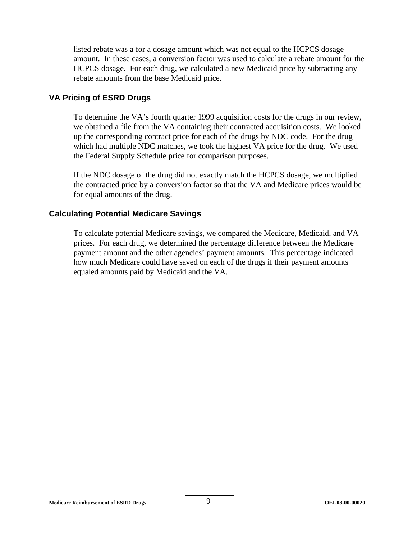listed rebate was a for a dosage amount which was not equal to the HCPCS dosage amount. In these cases, a conversion factor was used to calculate a rebate amount for the HCPCS dosage. For each drug, we calculated a new Medicaid price by subtracting any rebate amounts from the base Medicaid price.

#### **VA Pricing of ESRD Drugs**

To determine the VA's fourth quarter 1999 acquisition costs for the drugs in our review, we obtained a file from the VA containing their contracted acquisition costs. We looked up the corresponding contract price for each of the drugs by NDC code. For the drug which had multiple NDC matches, we took the highest VA price for the drug. We used the Federal Supply Schedule price for comparison purposes.

If the NDC dosage of the drug did not exactly match the HCPCS dosage, we multiplied the contracted price by a conversion factor so that the VA and Medicare prices would be for equal amounts of the drug.

#### **Calculating Potential Medicare Savings**

To calculate potential Medicare savings, we compared the Medicare, Medicaid, and VA prices. For each drug, we determined the percentage difference between the Medicare payment amount and the other agencies' payment amounts. This percentage indicated how much Medicare could have saved on each of the drugs if their payment amounts equaled amounts paid by Medicaid and the VA.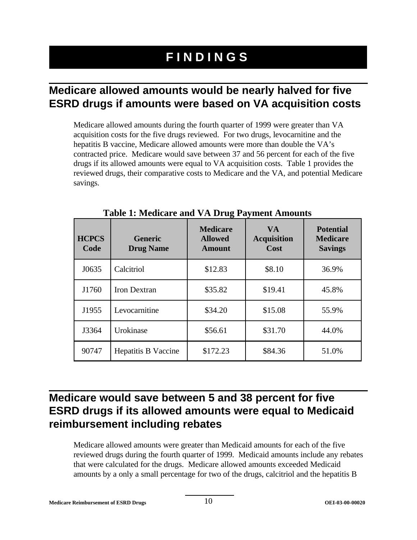### **FINDINGS**

### **Medicare allowed amounts would be nearly halved for five ESRD drugs if amounts were based on VA acquisition costs**

Medicare allowed amounts during the fourth quarter of 1999 were greater than VA acquisition costs for the five drugs reviewed. For two drugs, levocarnitine and the hepatitis B vaccine, Medicare allowed amounts were more than double the VA's contracted price. Medicare would save between 37 and 56 percent for each of the five drugs if its allowed amounts were equal to VA acquisition costs. Table 1 provides the reviewed drugs, their comparative costs to Medicare and the VA, and potential Medicare savings.

| <b>HCPCS</b><br>Code | <b>Generic</b><br><b>Drug Name</b> | <b>Medicare</b><br><b>Allowed</b><br><b>Amount</b> | <b>VA</b><br><b>Acquisition</b><br>Cost | <b>Potential</b><br><b>Medicare</b><br><b>Savings</b> |
|----------------------|------------------------------------|----------------------------------------------------|-----------------------------------------|-------------------------------------------------------|
| J0635                | Calcitriol                         | \$12.83                                            | \$8.10                                  | 36.9%                                                 |
| J1760                | <b>Iron Dextran</b>                | \$35.82                                            | \$19.41                                 | 45.8%                                                 |
| J1955                | Levocarnitine                      | \$34.20                                            | \$15.08                                 | 55.9%                                                 |
| J3364                | Urokinase                          | \$56.61                                            | \$31.70                                 | 44.0%                                                 |
| 90747                | <b>Hepatitis B Vaccine</b>         | \$172.23                                           | \$84.36                                 | 51.0%                                                 |

**Table 1: Medicare and VA Drug Payment Amounts** 

### **Medicare would save between 5 and 38 percent for five ESRD drugs if its allowed amounts were equal to Medicaid reimbursement including rebates**

Medicare allowed amounts were greater than Medicaid amounts for each of the five reviewed drugs during the fourth quarter of 1999. Medicaid amounts include any rebates that were calculated for the drugs. Medicare allowed amounts exceeded Medicaid amounts by a only a small percentage for two of the drugs, calcitriol and the hepatitis B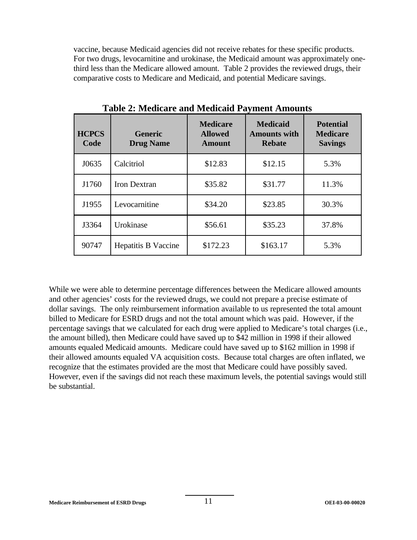vaccine, because Medicaid agencies did not receive rebates for these specific products. For two drugs, levocarnitine and urokinase, the Medicaid amount was approximately onethird less than the Medicare allowed amount. Table 2 provides the reviewed drugs, their comparative costs to Medicare and Medicaid, and potential Medicare savings.

| <b>HCPCS</b><br>Code | <b>Generic</b><br><b>Drug Name</b> | <b>Medicare</b><br><b>Allowed</b><br><b>Amount</b> | <b>Medicaid</b><br><b>Amounts with</b><br><b>Rebate</b> | <b>Potential</b><br><b>Medicare</b><br><b>Savings</b> |
|----------------------|------------------------------------|----------------------------------------------------|---------------------------------------------------------|-------------------------------------------------------|
| J0635                | Calcitriol                         | \$12.83                                            | \$12.15                                                 | 5.3%                                                  |
| J1760                | Iron Dextran                       | \$35.82                                            | \$31.77                                                 | 11.3%                                                 |
| J1955                | Levocarnitine                      | \$34.20                                            | \$23.85                                                 | 30.3%                                                 |
| J3364                | Urokinase                          | \$56.61                                            | \$35.23                                                 | 37.8%                                                 |
| 90747                | <b>Hepatitis B Vaccine</b>         | \$172.23                                           | \$163.17                                                | 5.3%                                                  |

**Table 2: Medicare and Medicaid Payment Amounts** 

While we were able to determine percentage differences between the Medicare allowed amounts and other agencies' costs for the reviewed drugs, we could not prepare a precise estimate of dollar savings. The only reimbursement information available to us represented the total amount billed to Medicare for ESRD drugs and not the total amount which was paid. However, if the percentage savings that we calculated for each drug were applied to Medicare's total charges (i.e., the amount billed), then Medicare could have saved up to \$42 million in 1998 if their allowed amounts equaled Medicaid amounts. Medicare could have saved up to \$162 million in 1998 if their allowed amounts equaled VA acquisition costs. Because total charges are often inflated, we recognize that the estimates provided are the most that Medicare could have possibly saved. However, even if the savings did not reach these maximum levels, the potential savings would still be substantial.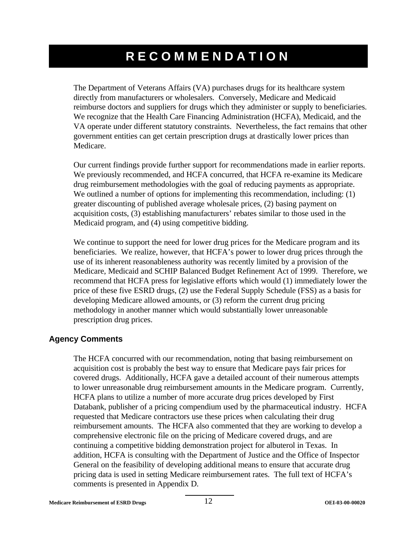### **RECOMMENDATION**

The Department of Veterans Affairs (VA) purchases drugs for its healthcare system directly from manufacturers or wholesalers. Conversely, Medicare and Medicaid reimburse doctors and suppliers for drugs which they administer or supply to beneficiaries. We recognize that the Health Care Financing Administration (HCFA), Medicaid, and the VA operate under different statutory constraints. Nevertheless, the fact remains that other government entities can get certain prescription drugs at drastically lower prices than Medicare.

Our current findings provide further support for recommendations made in earlier reports. We previously recommended, and HCFA concurred, that HCFA re-examine its Medicare drug reimbursement methodologies with the goal of reducing payments as appropriate. We outlined a number of options for implementing this recommendation, including: (1) greater discounting of published average wholesale prices, (2) basing payment on acquisition costs, (3) establishing manufacturers' rebates similar to those used in the Medicaid program, and (4) using competitive bidding.

We continue to support the need for lower drug prices for the Medicare program and its beneficiaries. We realize, however, that HCFA's power to lower drug prices through the use of its inherent reasonableness authority was recently limited by a provision of the Medicare, Medicaid and SCHIP Balanced Budget Refinement Act of 1999. Therefore, we recommend that HCFA press for legislative efforts which would (1) immediately lower the price of these five ESRD drugs, (2) use the Federal Supply Schedule (FSS) as a basis for developing Medicare allowed amounts, or (3) reform the current drug pricing methodology in another manner which would substantially lower unreasonable prescription drug prices.

#### **Agency Comments**

The HCFA concurred with our recommendation, noting that basing reimbursement on acquisition cost is probably the best way to ensure that Medicare pays fair prices for covered drugs. Additionally, HCFA gave a detailed account of their numerous attempts to lower unreasonable drug reimbursement amounts in the Medicare program. Currently, HCFA plans to utilize a number of more accurate drug prices developed by First Databank, publisher of a pricing compendium used by the pharmaceutical industry. HCFA requested that Medicare contractors use these prices when calculating their drug reimbursement amounts. The HCFA also commented that they are working to develop a comprehensive electronic file on the pricing of Medicare covered drugs, and are continuing a competitive bidding demonstration project for albuterol in Texas. In addition, HCFA is consulting with the Department of Justice and the Office of Inspector General on the feasibility of developing additional means to ensure that accurate drug pricing data is used in setting Medicare reimbursement rates. The full text of HCFA's comments is presented in Appendix D.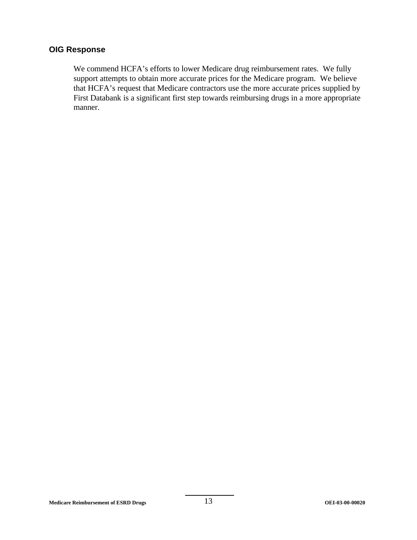#### **OIG Response**

We commend HCFA's efforts to lower Medicare drug reimbursement rates. We fully support attempts to obtain more accurate prices for the Medicare program. We believe that HCFA's request that Medicare contractors use the more accurate prices supplied by First Databank is a significant first step towards reimbursing drugs in a more appropriate manner.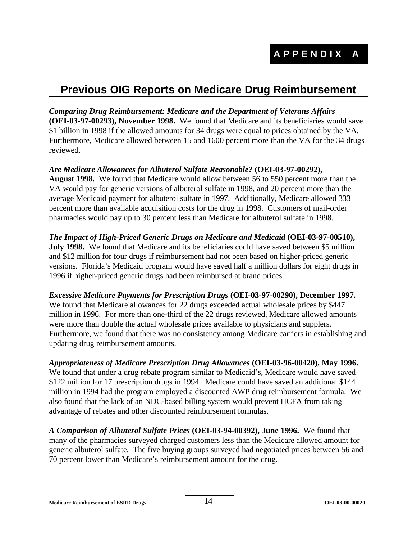### **Previous OIG Reports on Medicare Drug Reimbursement**

*Comparing Drug Reimbursement: Medicare and the Department of Veterans Affairs* **(OEI-03-97-00293), November 1998.** We found that Medicare and its beneficiaries would save \$1 billion in 1998 if the allowed amounts for 34 drugs were equal to prices obtained by the VA. Furthermore, Medicare allowed between 15 and 1600 percent more than the VA for the 34 drugs reviewed.

*Are Medicare Allowances for Albuterol Sulfate Reasonable?* **(OEI-03-97-00292), August 1998.** We found that Medicare would allow between 56 to 550 percent more than the VA would pay for generic versions of albuterol sulfate in 1998, and 20 percent more than the average Medicaid payment for albuterol sulfate in 1997. Additionally, Medicare allowed 333 percent more than available acquisition costs for the drug in 1998. Customers of mail-order pharmacies would pay up to 30 percent less than Medicare for albuterol sulfate in 1998.

*The Impact of High-Priced Generic Drugs on Medicare and Medicaid* **(OEI-03-97-00510), July 1998.** We found that Medicare and its beneficiaries could have saved between \$5 million and \$12 million for four drugs if reimbursement had not been based on higher-priced generic versions. Florida's Medicaid program would have saved half a million dollars for eight drugs in 1996 if higher-priced generic drugs had been reimbursed at brand prices.

*Excessive Medicare Payments for Prescription Drugs* **(OEI-03-97-00290), December 1997.**  We found that Medicare allowances for 22 drugs exceeded actual wholesale prices by \$447 million in 1996. For more than one-third of the 22 drugs reviewed, Medicare allowed amounts were more than double the actual wholesale prices available to physicians and supplers. Furthermore, we found that there was no consistency among Medicare carriers in establishing and updating drug reimbursement amounts.

*Appropriateness of Medicare Prescription Drug Allowances* **(OEI-03-96-00420), May 1996.**  We found that under a drug rebate program similar to Medicaid's, Medicare would have saved \$122 million for 17 prescription drugs in 1994. Medicare could have saved an additional \$144 million in 1994 had the program employed a discounted AWP drug reimbursement formula. We also found that the lack of an NDC-based billing system would prevent HCFA from taking advantage of rebates and other discounted reimbursement formulas.

*A Comparison of Albuterol Sulfate Prices* **(OEI-03-94-00392), June 1996.** We found that many of the pharmacies surveyed charged customers less than the Medicare allowed amount for generic albuterol sulfate. The five buying groups surveyed had negotiated prices between 56 and 70 percent lower than Medicare's reimbursement amount for the drug.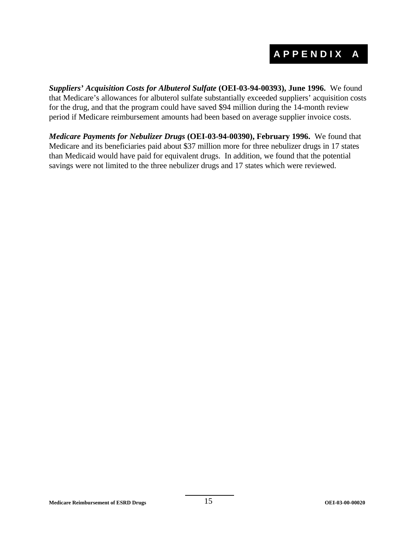### **APPENDIX A**

*Suppliers' Acquisition Costs for Albuterol Sulfate* **(OEI-03-94-00393), June 1996.** We found that Medicare's allowances for albuterol sulfate substantially exceeded suppliers' acquisition costs for the drug, and that the program could have saved \$94 million during the 14-month review period if Medicare reimbursement amounts had been based on average supplier invoice costs.

*Medicare Payments for Nebulizer Drugs* **(OEI-03-94-00390), February 1996.** We found that Medicare and its beneficiaries paid about \$37 million more for three nebulizer drugs in 17 states than Medicaid would have paid for equivalent drugs. In addition, we found that the potential savings were not limited to the three nebulizer drugs and 17 states which were reviewed.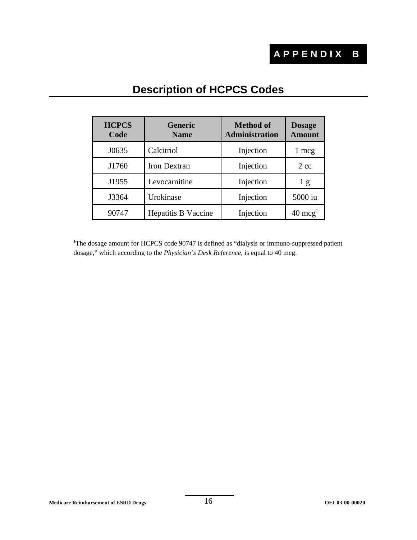### **APPENDIX B**

| <b>HCPCS</b><br>Code | <b>Generic</b><br><b>Name</b> | <b>Method</b> of<br><b>Administration</b> | <b>Dosage</b><br><b>Amount</b> |
|----------------------|-------------------------------|-------------------------------------------|--------------------------------|
| J0635                | Calcitriol                    | Injection                                 | 1 mcg                          |
| J1760                | <b>Iron Dextran</b>           | Injection                                 | $2 \text{ cc}$                 |
| J1955                | Levocarnitine                 | Injection                                 | 1g                             |
| J3364                | Urokinase                     | Injection                                 | 5000 iu                        |
| 90747                | <b>Hepatitis B Vaccine</b>    | Injection                                 | $40 \text{ mcg}^1$             |

### **Description of HCPCS Codes**

<sup>1</sup>The dosage amount for HCPCS code 90747 is defined as "dialysis or immuno-suppressed patient dosage," which according to the *Physician's Desk Reference*, is equal to 40 mcg.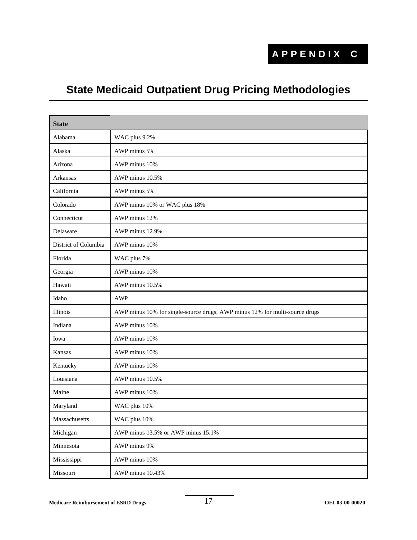### **APPENDIX C**

### **State Medicaid Outpatient Drug Pricing Methodologies**

| <b>State</b>         |                                                                             |
|----------------------|-----------------------------------------------------------------------------|
| Alabama              | WAC plus 9.2%                                                               |
| Alaska               | AWP minus 5%                                                                |
| Arizona              | AWP minus 10%                                                               |
| Arkansas             | AWP minus 10.5%                                                             |
| California           | AWP minus 5%                                                                |
| Colorado             | AWP minus 10% or WAC plus 18%                                               |
| Connecticut          | AWP minus 12%                                                               |
| Delaware             | AWP minus 12.9%                                                             |
| District of Columbia | AWP minus 10%                                                               |
| Florida              | WAC plus 7%                                                                 |
| Georgia              | AWP minus 10%                                                               |
| Hawaii               | AWP minus 10.5%                                                             |
| Idaho                | <b>AWP</b>                                                                  |
| Illinois             | AWP minus 10% for single-source drugs, AWP minus 12% for multi-source drugs |
| Indiana              | AWP minus 10%                                                               |
| Iowa                 | AWP minus 10%                                                               |
| Kansas               | AWP minus 10%                                                               |
| Kentucky             | AWP minus 10%                                                               |
| Louisiana            | AWP minus 10.5%                                                             |
| Maine                | AWP minus 10%                                                               |
| Maryland             | WAC plus 10%                                                                |
| Massachusetts        | WAC plus 10%                                                                |
| Michigan             | AWP minus 13.5% or AWP minus 15.1%                                          |
| Minnesota            | AWP minus 9%                                                                |
| Mississippi          | AWP minus 10%                                                               |
| Missouri             | AWP minus 10.43%                                                            |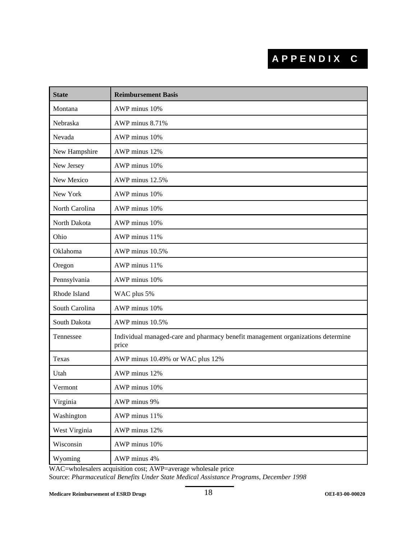### **APPENDIX C**

| <b>State</b>   | <b>Reimbursement Basis</b>                                                               |
|----------------|------------------------------------------------------------------------------------------|
| Montana        | AWP minus 10%                                                                            |
| Nebraska       | AWP minus 8.71%                                                                          |
| Nevada         | AWP minus 10%                                                                            |
| New Hampshire  | AWP minus 12%                                                                            |
| New Jersey     | AWP minus 10%                                                                            |
| New Mexico     | AWP minus 12.5%                                                                          |
| New York       | AWP minus 10%                                                                            |
| North Carolina | AWP minus 10%                                                                            |
| North Dakota   | AWP minus 10%                                                                            |
| Ohio           | AWP minus 11%                                                                            |
| Oklahoma       | AWP minus 10.5%                                                                          |
| Oregon         | AWP minus 11%                                                                            |
| Pennsylvania   | AWP minus 10%                                                                            |
| Rhode Island   | WAC plus 5%                                                                              |
| South Carolina | AWP minus 10%                                                                            |
| South Dakota   | AWP minus 10.5%                                                                          |
| Tennessee      | Individual managed-care and pharmacy benefit management organizations determine<br>price |
| Texas          | AWP minus 10.49% or WAC plus 12%                                                         |
| Utah           | AWP minus 12%                                                                            |
| Vermont        | AWP minus 10%                                                                            |
| Virginia       | AWP minus 9%                                                                             |
| Washington     | AWP minus 11%                                                                            |
| West Virginia  | AWP minus 12%                                                                            |
| Wisconsin      | AWP minus 10%                                                                            |
| Wyoming        | AWP minus 4%                                                                             |

WAC=wholesalers acquisition cost; AWP=average wholesale price

Source: *Pharmaceutical Benefits Under State Medical Assistance Programs, December 1998*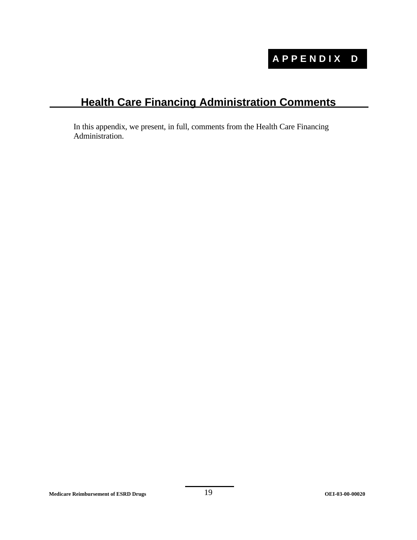### **Health Care Financing Administration Comments**

In this appendix, we present, in full, comments from the Health Care Financing Administration.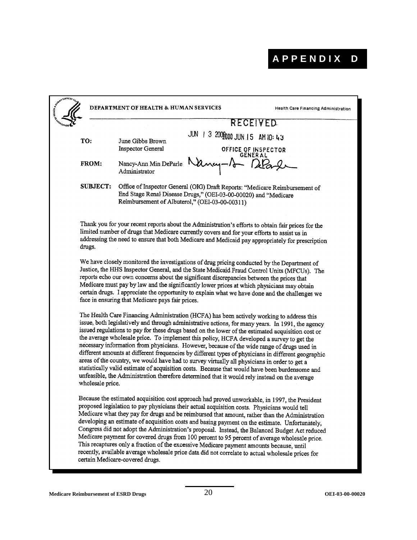|                  | <b>DEPARTMENT OF HEALTH &amp; HUMAN SERVICES</b>                                                                                                                                                                                                                                                                                                                                                                                                                                                                                                                                                                                                                                                                                                                                                                                                                                                         |                               | Health Care Financing Administration |
|------------------|----------------------------------------------------------------------------------------------------------------------------------------------------------------------------------------------------------------------------------------------------------------------------------------------------------------------------------------------------------------------------------------------------------------------------------------------------------------------------------------------------------------------------------------------------------------------------------------------------------------------------------------------------------------------------------------------------------------------------------------------------------------------------------------------------------------------------------------------------------------------------------------------------------|-------------------------------|--------------------------------------|
|                  |                                                                                                                                                                                                                                                                                                                                                                                                                                                                                                                                                                                                                                                                                                                                                                                                                                                                                                          |                               | RECEIVED                             |
| TO:              | JUN<br>June Gibbs Brown                                                                                                                                                                                                                                                                                                                                                                                                                                                                                                                                                                                                                                                                                                                                                                                                                                                                                  | 1 3 200 2000 JUN 15 AM 10: 43 |                                      |
|                  | <b>Inspector General</b>                                                                                                                                                                                                                                                                                                                                                                                                                                                                                                                                                                                                                                                                                                                                                                                                                                                                                 |                               | OFFICE OF INSPECTOR                  |
| FROM:            | Nancy-Ann Min DeParle<br>Administrator                                                                                                                                                                                                                                                                                                                                                                                                                                                                                                                                                                                                                                                                                                                                                                                                                                                                   |                               | <b>GENERAL</b>                       |
| <b>SUBJECT:</b>  | Office of Inspector General (OIG) Draft Reports: "Medicare Reimbursement of<br>End Stage Renal Disease Drugs," (OEI-03-00-00020) and "Medicare<br>Reimbursement of Albuterol," (OEI-03-00-00311)                                                                                                                                                                                                                                                                                                                                                                                                                                                                                                                                                                                                                                                                                                         |                               |                                      |
| drugs.           | Thank you for your recent reports about the Administration's efforts to obtain fair prices for the<br>limited number of drugs that Medicare currently covers and for your efforts to assist us in<br>addressing the need to ensure that both Medicare and Medicaid pay appropriately for prescription                                                                                                                                                                                                                                                                                                                                                                                                                                                                                                                                                                                                    |                               |                                      |
|                  | We have closely monitored the investigations of drug pricing conducted by the Department of<br>Justice, the HHS Inspector General, and the State Medicaid Fraud Control Units (MFCUs). The<br>reports echo our own concerns about the significant discrepancies between the prices that<br>Medicare must pay by law and the significantly lower prices at which physicians may obtain<br>certain drugs. I appreciate the opportunity to explain what we have done and the challenges we<br>face in ensuring that Medicare pays fair prices.                                                                                                                                                                                                                                                                                                                                                              |                               |                                      |
| wholesale price. | The Health Care Financing Administration (HCFA) has been actively working to address this<br>issue, both legislatively and through administrative actions, for many years. In 1991, the agency<br>issued regulations to pay for these drugs based on the lower of the estimated acquisition cost or<br>the average wholesale price. To implement this policy, HCFA developed a survey to get the<br>necessary information from physicians. However, because of the wide range of drugs used in<br>different amounts at different frequencies by different types of physicians in different geographic<br>areas of the country, we would have had to survey virtually all physicians in order to get a<br>statistically valid estimate of acquisition costs. Because that would have been burdensome and<br>unfeasible, the Administration therefore determined that it would rely instead on the average |                               |                                      |
|                  | Because the estimated acquisition cost approach had proved unworkable, in 1997, the President<br>proposed legislation to pay physicians their actual acquisition costs. Physicians would tell<br>Medicare what they pay for drugs and be reimbursed that amount, rather than the Administration<br>developing an estimate of acquisition costs and basing payment on the estimate. Unfortunately,<br>Congress did not adopt the Administration's proposal. Instead, the Balanced Budget Act reduced<br>Medicare payment for covered drugs from 100 percent to 95 percent of average wholesale price.<br>This recaptures only a fraction of the excessive Medicare payment amounts because, until<br>recently, available average wholesale price data did not correlate to actual wholesale prices for<br>certain Medicare-covered drugs.                                                                 |                               |                                      |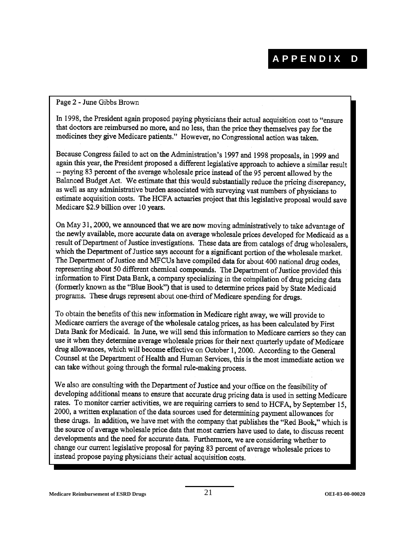#### Page 2 - June Gibbs Brown

In 1998, the President again proposed paying physicians their actual acquisition cost to "ensure that doctors are reimbursed no more, and no less, than the price they themselves pay for the medicines they give Medicare patients." However, no Congressional action was taken.

Because Congress failed to act on the Administration's 1997 and 1998 proposals, in 1999 and again this year, the President proposed a different legislative approach to achieve a similar result -- paying 83 percent of the average wholesale price instead of the 95 percent allowed by the Balanced Budget Act. We estimate that this would substantially reduce the pricing discrepancy, as well as any administrative burden associated with surveying vast numbers of physicians to estimate acquisition costs. The HCFA actuaries project that this legislative proposal would save Medicare \$2.9 billion over 10 years.

On May 31, 2000, we announced that we are now moving administratively to take advantage of the newly available, more accurate data on average wholesale prices developed for Medicaid as a result of Department of Justice investigations. These data are from catalogs of drug wholesalers, which the Department of Justice says account for a significant portion of the wholesale market. The Department of Justice and MFCUs have compiled data for about 400 national drug codes, representing about 50 different chemical compounds. The Department of Justice provided this information to First Data Bank, a company specializing in the compilation of drug pricing data (formerly known as the "Blue Book") that is used to determine prices paid by State Medicaid programs. These drugs represent about one-third of Medicare spending for drugs.

To obtain the benefits of this new information in Medicare right away, we will provide to Medicare carriers the average of the wholesale catalog prices, as has been calculated by First Data Bank for Medicaid. In June, we will send this information to Medicare carriers so they can use it when they determine average wholesale prices for their next quarterly update of Medicare drug allowances, which will become effective on October 1, 2000. According to the General Counsel at the Department of Health and Human Services, this is the most immediate action we can take without going through the formal rule-making process.

We also are consulting with the Department of Justice and your office on the feasibility of developing additional means to ensure that accurate drug pricing data is used in setting Medicare rates. To monitor carrier activities, we are requiring carriers to send to HCFA, by September 15, 2000, a written explanation of the data sources used for determining payment allowances for these drugs. In addition, we have met with the company that publishes the "Red Book," which is the source of average wholesale price data that most carriers have used to date, to discuss recent developments and the need for accurate data. Furthermore, we are considering whether to change our current legislative proposal for paying 83 percent of average wholesale prices to instead propose paying physicians their actual acquisition costs.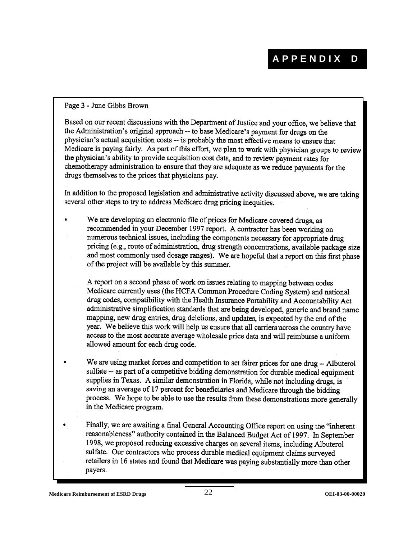Page 3 - June Gibbs Brown

Based on our recent discussions with the Department of Justice and your office, we believe that the Administration's original approach -- to base Medicare's payment for drugs on the physician's actual acquisition costs -- is probably the most effective means to ensure that Medicare is paying fairly. As part of this effort, we plan to work with physician groups to review the physician's ability to provide acquisition cost data, and to review payment rates for chemotherapy administration to ensure that they are adequate as we reduce payments for the drugs themselves to the prices that physicians pay.

In addition to the proposed legislation and administrative activity discussed above, we are taking several other steps to try to address Medicare drug pricing inequities.

We are developing an electronic file of prices for Medicare covered drugs, as recommended in your December 1997 report. A contractor has been working on numerous technical issues, including the components necessary for appropriate drug pricing (e.g., route of administration, drug strength concentrations, available package size and most commonly used dosage ranges). We are hopeful that a report on this first phase of the project will be available by this summer.

A report on a second phase of work on issues relating to mapping between codes Medicare currently uses (the HCFA Common Procedure Coding System) and national drug codes, compatibility with the Health Insurance Portability and Accountability Act administrative simplification standards that are being developed, generic and brand name mapping, new drug entries, drug deletions, and updates, is expected by the end of the year. We believe this work will help us ensure that all carriers across the country have access to the most accurate average wholesale price data and will reimburse a uniform allowed amount for each drug code.

- We are using market forces and competition to set fairer prices for one drug -- Albuterol sulfate -- as part of a competitive bidding demonstration for durable medical equipment supplies in Texas. A similar demonstration in Florida, while not including drugs, is saving an average of 17 percent for beneficiaries and Medicare through the bidding process. We hope to be able to use the results from these demonstrations more generally in the Medicare program.
- Finally, we are awaiting a final General Accounting Office report on using the "inherent reasonableness" authority contained in the Balanced Budget Act of 1997. In September 1998, we proposed reducing excessive charges on several items, including Albuterol sulfate. Our contractors who process durable medical equipment claims surveyed retailers in 16 states and found that Medicare was paying substantially more than other payers.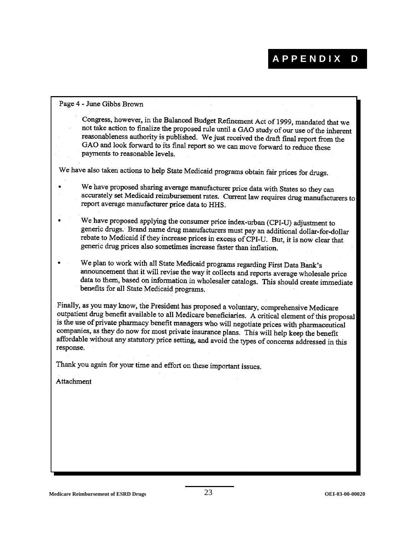#### Page 4 - June Gibbs Brown

Congress, however, in the Balanced Budget Refinement Act of 1999, mandated that we not take action to finalize the proposed rule until a GAO study of our use of the inherent reasonableness authority is published. We just received the draft final report from the GAO and look forward to its final report so we can move forward to reduce these payments to reasonable levels.

We have also taken actions to help State Medicaid programs obtain fair prices for drugs.

- We have proposed sharing average manufacturer price data with States so they can accurately set Medicaid reimbursement rates. Current law requires drug manufacturers to report average manufacturer price data to HHS.
- We have proposed applying the consumer price index-urban (CPI-U) adjustment to generic drugs. Brand name drug manufacturers must pay an additional dollar-for-dollar rebate to Medicaid if they increase prices in excess of CPI-U. But, it is now clear that generic drug prices also sometimes increase faster than inflation.
- We plan to work with all State Medicaid programs regarding First Data Bank's announcement that it will revise the way it collects and reports average wholesale price data to them, based on information in wholesaler catalogs. This should create immediate benefits for all State Medicaid programs.

Finally, as you may know, the President has proposed a voluntary, comprehensive Medicare outpatient drug benefit available to all Medicare beneficiaries. A critical element of this proposal is the use of private pharmacy benefit managers who will negotiate prices with pharmaceutical companies, as they do now for most private insurance plans. This will help keep the benefit affordable without any statutory price setting, and avoid the types of concerns addressed in this response.

Thank you again for your time and effort on these important issues.

Attachment